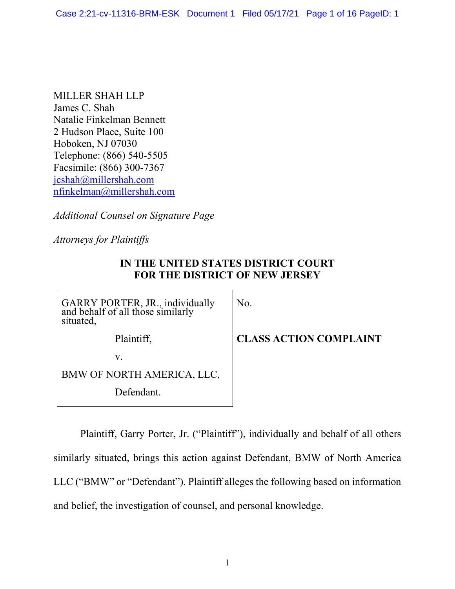MILLER SHAH LLP James C. Shah Natalie Finkelman Bennett 2 Hudson Place, Suite 100 Hoboken, NJ 07030 Telephone: (866) 540-5505 Facsimile: (866) 300-7367 [jcshah@millershah.com](mailto:jcshah@millershah.com) [nfinkelman@millershah.com](mailto:nfinkelman@millershah.com)

*Additional Counsel on Signature Page*

*Attorneys for Plaintiffs*

## **IN THE UNITED STATES DISTRICT COURT FOR THE DISTRICT OF NEW JERSEY**

GARRY PORTER, JR., individually and behalf of all those similarly situated,

No.

**CLASS ACTION COMPLAINT**

v.

BMW OF NORTH AMERICA, LLC,

Defendant.

Plaintiff,

Plaintiff, Garry Porter, Jr. ("Plaintiff"), individually and behalf of all others similarly situated, brings this action against Defendant, BMW of North America LLC ("BMW" or "Defendant"). Plaintiff alleges the following based on information and belief, the investigation of counsel, and personal knowledge.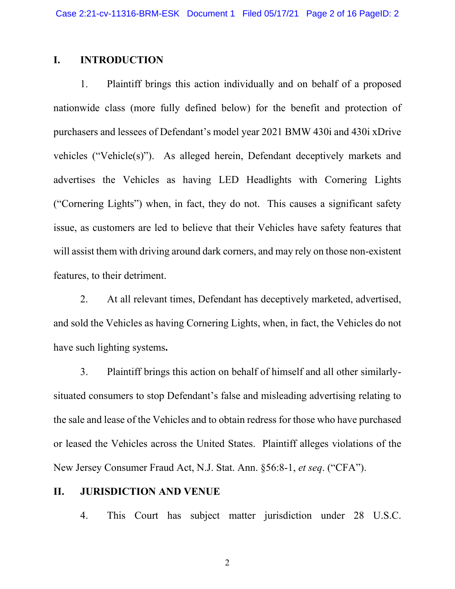### **I. INTRODUCTION**

1. Plaintiff brings this action individually and on behalf of a proposed nationwide class (more fully defined below) for the benefit and protection of purchasers and lessees of Defendant's model year 2021 BMW 430i and 430i xDrive vehicles ("Vehicle(s)"). As alleged herein, Defendant deceptively markets and advertises the Vehicles as having LED Headlights with Cornering Lights ("Cornering Lights") when, in fact, they do not. This causes a significant safety issue, as customers are led to believe that their Vehicles have safety features that will assist them with driving around dark corners, and may rely on those non-existent features, to their detriment.

2. At all relevant times, Defendant has deceptively marketed, advertised, and sold the Vehicles as having Cornering Lights, when, in fact, the Vehicles do not have such lighting systems**.** 

3. Plaintiff brings this action on behalf of himself and all other similarlysituated consumers to stop Defendant's false and misleading advertising relating to the sale and lease of the Vehicles and to obtain redress for those who have purchased or leased the Vehicles across the United States. Plaintiff alleges violations of the New Jersey Consumer Fraud Act, N.J. Stat. Ann. §56:8-1, *et seq*. ("CFA").

### **II. JURISDICTION AND VENUE**

4. This Court has subject matter jurisdiction under 28 U.S.C.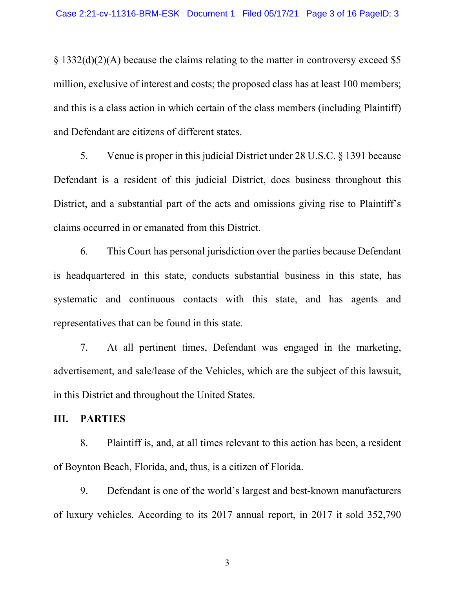§ 1332(d)(2)(A) because the claims relating to the matter in controversy exceed \$5 million, exclusive of interest and costs; the proposed class has at least 100 members; and this is a class action in which certain of the class members (including Plaintiff) and Defendant are citizens of different states.

5. Venue is proper in this judicial District under 28 U.S.C. § 1391 because Defendant is a resident of this judicial District, does business throughout this District, and a substantial part of the acts and omissions giving rise to Plaintiff's claims occurred in or emanated from this District.

6. This Court has personal jurisdiction over the parties because Defendant is headquartered in this state, conducts substantial business in this state, has systematic and continuous contacts with this state, and has agents and representatives that can be found in this state.

7. At all pertinent times, Defendant was engaged in the marketing, advertisement, and sale/lease of the Vehicles, which are the subject of this lawsuit, in this District and throughout the United States.

#### **III. PARTIES**

8. Plaintiff is, and, at all times relevant to this action has been, a resident of Boynton Beach, Florida, and, thus, is a citizen of Florida.

9. Defendant is one of the world's largest and best-known manufacturers of luxury vehicles. According to its 2017 annual report, in 2017 it sold 352,790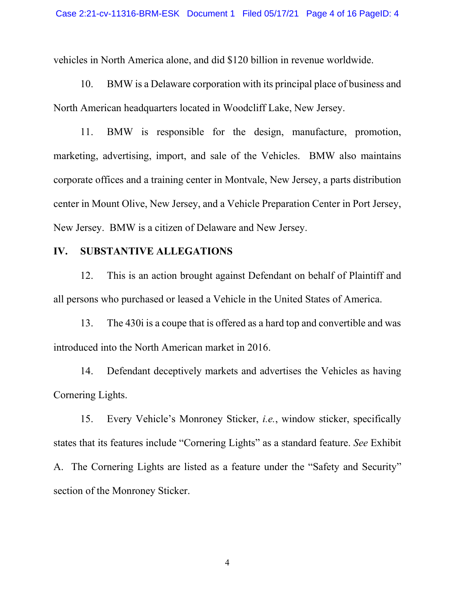vehicles in North America alone, and did \$120 billion in revenue worldwide.

10. BMW is a Delaware corporation with its principal place of business and North American headquarters located in Woodcliff Lake, New Jersey.

11. BMW is responsible for the design, manufacture, promotion, marketing, advertising, import, and sale of the Vehicles. BMW also maintains corporate offices and a training center in Montvale, New Jersey, a parts distribution center in Mount Olive, New Jersey, and a Vehicle Preparation Center in Port Jersey, New Jersey. BMW is a citizen of Delaware and New Jersey.

### **IV. SUBSTANTIVE ALLEGATIONS**

12. This is an action brought against Defendant on behalf of Plaintiff and all persons who purchased or leased a Vehicle in the United States of America.

13. The 430i is a coupe that is offered as a hard top and convertible and was introduced into the North American market in 2016.

14. Defendant deceptively markets and advertises the Vehicles as having Cornering Lights.

15. Every Vehicle's Monroney Sticker, *i.e.*, window sticker, specifically states that its features include "Cornering Lights" as a standard feature. *See* Exhibit A. The Cornering Lights are listed as a feature under the "Safety and Security" section of the Monroney Sticker.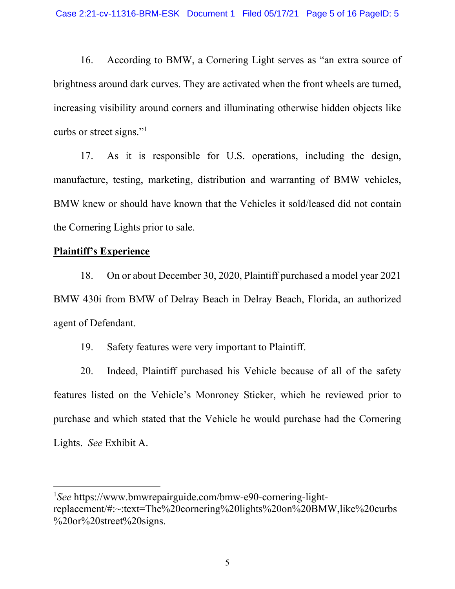16. According to BMW, a Cornering Light serves as "an extra source of brightness around dark curves. They are activated when the front wheels are turned, increasing visibility around corners and illuminating otherwise hidden objects like curbs or street signs."<sup>[1](#page-4-0)</sup>

17. As it is responsible for U.S. operations, including the design, manufacture, testing, marketing, distribution and warranting of BMW vehicles, BMW knew or should have known that the Vehicles it sold/leased did not contain the Cornering Lights prior to sale.

### **Plaintiff's Experience**

18. On or about December 30, 2020, Plaintiff purchased a model year 2021 BMW 430i from BMW of Delray Beach in Delray Beach, Florida, an authorized agent of Defendant.

19. Safety features were very important to Plaintiff.

20. Indeed, Plaintiff purchased his Vehicle because of all of the safety features listed on the Vehicle's Monroney Sticker, which he reviewed prior to purchase and which stated that the Vehicle he would purchase had the Cornering Lights. *See* Exhibit A.

<span id="page-4-0"></span><sup>&</sup>lt;sup>1</sup>See https://www.bmwrepairguide.com/bmw-e90-cornering-lightreplacement/#:~:text=The%20cornering%20lights%20on%20BMW,like%20curbs %20or%20street%20signs.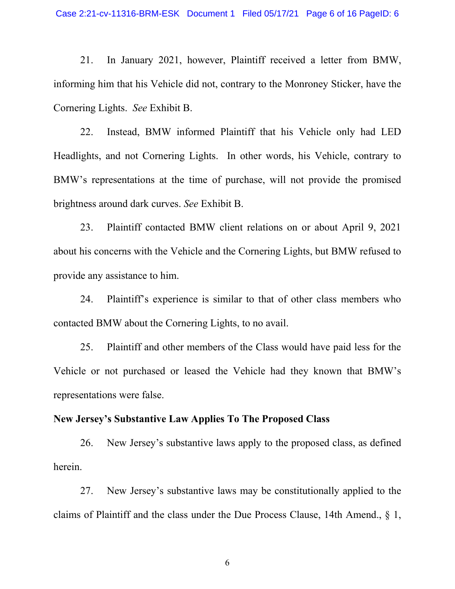21. In January 2021, however, Plaintiff received a letter from BMW, informing him that his Vehicle did not, contrary to the Monroney Sticker, have the Cornering Lights. *See* Exhibit B.

22. Instead, BMW informed Plaintiff that his Vehicle only had LED Headlights, and not Cornering Lights. In other words, his Vehicle, contrary to BMW's representations at the time of purchase, will not provide the promised brightness around dark curves. *See* Exhibit B.

23. Plaintiff contacted BMW client relations on or about April 9, 2021 about his concerns with the Vehicle and the Cornering Lights, but BMW refused to provide any assistance to him.

24. Plaintiff's experience is similar to that of other class members who contacted BMW about the Cornering Lights, to no avail.

25. Plaintiff and other members of the Class would have paid less for the Vehicle or not purchased or leased the Vehicle had they known that BMW's representations were false.

### **New Jersey's Substantive Law Applies To The Proposed Class**

26. New Jersey's substantive laws apply to the proposed class, as defined herein.

27. New Jersey's substantive laws may be constitutionally applied to the claims of Plaintiff and the class under the Due Process Clause, 14th Amend., § 1,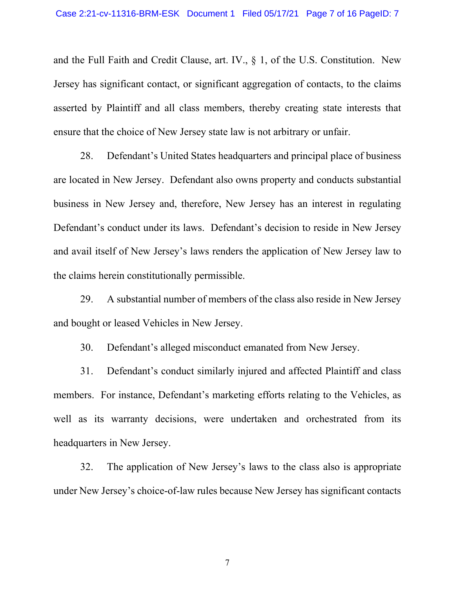and the Full Faith and Credit Clause, art. IV., § 1, of the U.S. Constitution. New Jersey has significant contact, or significant aggregation of contacts, to the claims asserted by Plaintiff and all class members, thereby creating state interests that ensure that the choice of New Jersey state law is not arbitrary or unfair.

28. Defendant's United States headquarters and principal place of business are located in New Jersey. Defendant also owns property and conducts substantial business in New Jersey and, therefore, New Jersey has an interest in regulating Defendant's conduct under its laws. Defendant's decision to reside in New Jersey and avail itself of New Jersey's laws renders the application of New Jersey law to the claims herein constitutionally permissible.

29. A substantial number of members of the class also reside in New Jersey and bought or leased Vehicles in New Jersey.

30. Defendant's alleged misconduct emanated from New Jersey.

31. Defendant's conduct similarly injured and affected Plaintiff and class members. For instance, Defendant's marketing efforts relating to the Vehicles, as well as its warranty decisions, were undertaken and orchestrated from its headquarters in New Jersey.

32. The application of New Jersey's laws to the class also is appropriate under New Jersey's choice-of-law rules because New Jersey has significant contacts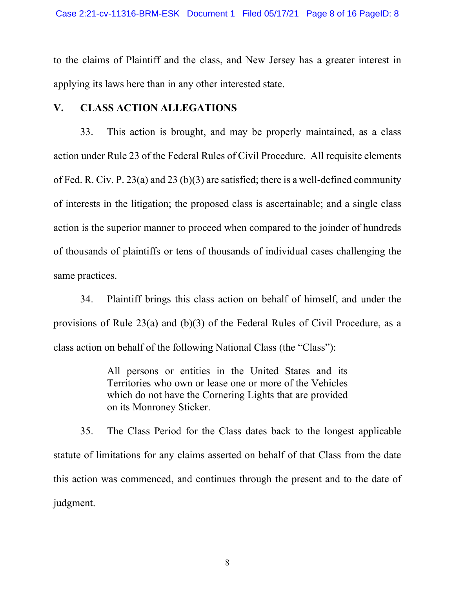to the claims of Plaintiff and the class, and New Jersey has a greater interest in applying its laws here than in any other interested state.

## **V. CLASS ACTION ALLEGATIONS**

33. This action is brought, and may be properly maintained, as a class action under Rule 23 of the Federal Rules of Civil Procedure. All requisite elements of Fed. R. Civ. P. 23(a) and 23 (b)(3) are satisfied; there is a well-defined community of interests in the litigation; the proposed class is ascertainable; and a single class action is the superior manner to proceed when compared to the joinder of hundreds of thousands of plaintiffs or tens of thousands of individual cases challenging the same practices.

34. Plaintiff brings this class action on behalf of himself, and under the provisions of Rule 23(a) and (b)(3) of the Federal Rules of Civil Procedure, as a class action on behalf of the following National Class (the "Class"):

> All persons or entities in the United States and its Territories who own or lease one or more of the Vehicles which do not have the Cornering Lights that are provided on its Monroney Sticker.

35. The Class Period for the Class dates back to the longest applicable statute of limitations for any claims asserted on behalf of that Class from the date this action was commenced, and continues through the present and to the date of judgment.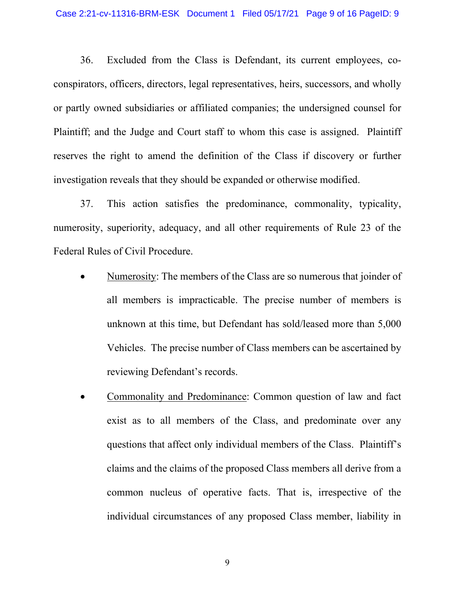36. Excluded from the Class is Defendant, its current employees, coconspirators, officers, directors, legal representatives, heirs, successors, and wholly or partly owned subsidiaries or affiliated companies; the undersigned counsel for Plaintiff; and the Judge and Court staff to whom this case is assigned. Plaintiff reserves the right to amend the definition of the Class if discovery or further investigation reveals that they should be expanded or otherwise modified.

37. This action satisfies the predominance, commonality, typicality, numerosity, superiority, adequacy, and all other requirements of Rule 23 of the Federal Rules of Civil Procedure.

- Numerosity: The members of the Class are so numerous that joinder of all members is impracticable. The precise number of members is unknown at this time, but Defendant has sold/leased more than 5,000 Vehicles. The precise number of Class members can be ascertained by reviewing Defendant's records.
- Commonality and Predominance: Common question of law and fact exist as to all members of the Class, and predominate over any questions that affect only individual members of the Class. Plaintiff's claims and the claims of the proposed Class members all derive from a common nucleus of operative facts. That is, irrespective of the individual circumstances of any proposed Class member, liability in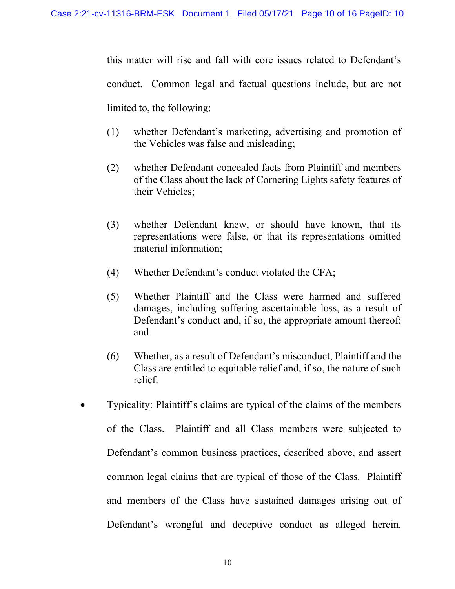this matter will rise and fall with core issues related to Defendant's conduct. Common legal and factual questions include, but are not limited to, the following:

- (1) whether Defendant's marketing, advertising and promotion of the Vehicles was false and misleading;
- (2) whether Defendant concealed facts from Plaintiff and members of the Class about the lack of Cornering Lights safety features of their Vehicles;
- (3) whether Defendant knew, or should have known, that its representations were false, or that its representations omitted material information;
- (4) Whether Defendant's conduct violated the CFA;
- (5) Whether Plaintiff and the Class were harmed and suffered damages, including suffering ascertainable loss, as a result of Defendant's conduct and, if so, the appropriate amount thereof; and
- (6) Whether, as a result of Defendant's misconduct, Plaintiff and the Class are entitled to equitable relief and, if so, the nature of such relief.
- x Typicality: Plaintiff's claims are typical of the claims of the members of the Class. Plaintiff and all Class members were subjected to Defendant's common business practices, described above, and assert common legal claims that are typical of those of the Class. Plaintiff and members of the Class have sustained damages arising out of Defendant's wrongful and deceptive conduct as alleged herein.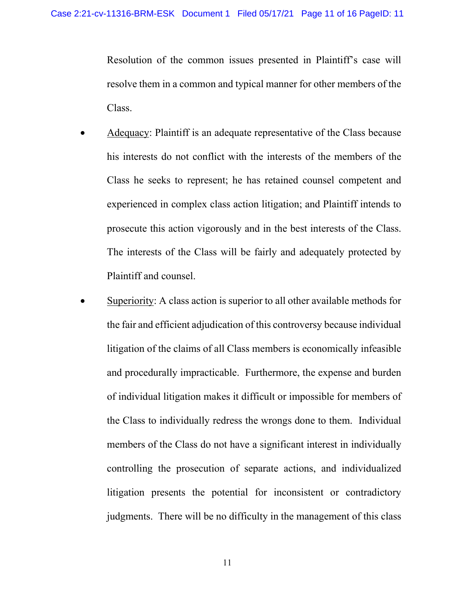Resolution of the common issues presented in Plaintiff's case will resolve them in a common and typical manner for other members of the Class.

- Adequacy: Plaintiff is an adequate representative of the Class because his interests do not conflict with the interests of the members of the Class he seeks to represent; he has retained counsel competent and experienced in complex class action litigation; and Plaintiff intends to prosecute this action vigorously and in the best interests of the Class. The interests of the Class will be fairly and adequately protected by Plaintiff and counsel.
- Superiority: A class action is superior to all other available methods for the fair and efficient adjudication of this controversy because individual litigation of the claims of all Class members is economically infeasible and procedurally impracticable. Furthermore, the expense and burden of individual litigation makes it difficult or impossible for members of the Class to individually redress the wrongs done to them. Individual members of the Class do not have a significant interest in individually controlling the prosecution of separate actions, and individualized litigation presents the potential for inconsistent or contradictory judgments. There will be no difficulty in the management of this class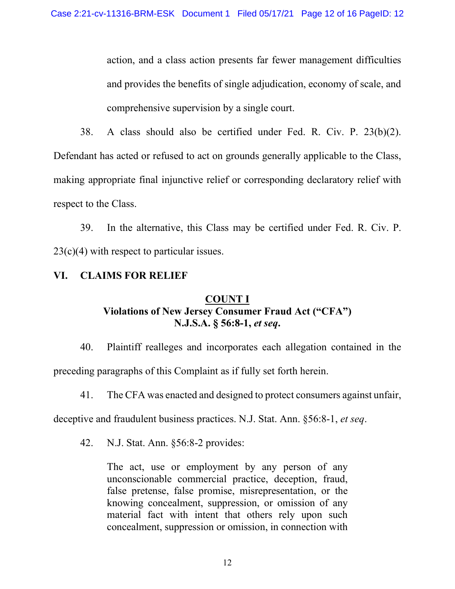action, and a class action presents far fewer management difficulties and provides the benefits of single adjudication, economy of scale, and comprehensive supervision by a single court.

38. A class should also be certified under Fed. R. Civ. P. 23(b)(2). Defendant has acted or refused to act on grounds generally applicable to the Class, making appropriate final injunctive relief or corresponding declaratory relief with respect to the Class.

39. In the alternative, this Class may be certified under Fed. R. Civ. P. 23(c)(4) with respect to particular issues.

# **VI. CLAIMS FOR RELIEF**

## **COUNT I Violations of New Jersey Consumer Fraud Act ("CFA") N.J.S.A. § 56:8-1,** *et seq***.**

40. Plaintiff realleges and incorporates each allegation contained in the preceding paragraphs of this Complaint as if fully set forth herein.

41. The CFA was enacted and designed to protect consumers against unfair,

deceptive and fraudulent business practices. N.J. Stat. Ann. §56:8-1, *et seq*.

42. N.J. Stat. Ann. §56:8-2 provides:

The act, use or employment by any person of any unconscionable commercial practice, deception, fraud, false pretense, false promise, misrepresentation, or the knowing concealment, suppression, or omission of any material fact with intent that others rely upon such concealment, suppression or omission, in connection with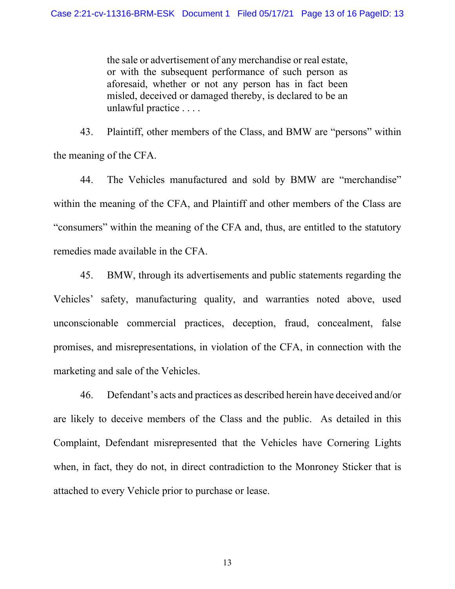the sale or advertisement of any merchandise or real estate, or with the subsequent performance of such person as aforesaid, whether or not any person has in fact been misled, deceived or damaged thereby, is declared to be an unlawful practice . . . .

43. Plaintiff, other members of the Class, and BMW are "persons" within the meaning of the CFA.

44. The Vehicles manufactured and sold by BMW are "merchandise" within the meaning of the CFA, and Plaintiff and other members of the Class are "consumers" within the meaning of the CFA and, thus, are entitled to the statutory remedies made available in the CFA.

45. BMW, through its advertisements and public statements regarding the Vehicles' safety, manufacturing quality, and warranties noted above, used unconscionable commercial practices, deception, fraud, concealment, false promises, and misrepresentations, in violation of the CFA, in connection with the marketing and sale of the Vehicles.

46. Defendant's acts and practices as described herein have deceived and/or are likely to deceive members of the Class and the public. As detailed in this Complaint, Defendant misrepresented that the Vehicles have Cornering Lights when, in fact, they do not, in direct contradiction to the Monroney Sticker that is attached to every Vehicle prior to purchase or lease.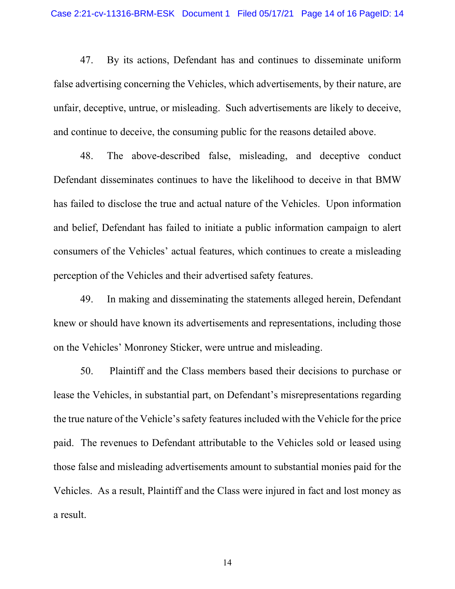47. By its actions, Defendant has and continues to disseminate uniform false advertising concerning the Vehicles, which advertisements, by their nature, are unfair, deceptive, untrue, or misleading. Such advertisements are likely to deceive, and continue to deceive, the consuming public for the reasons detailed above.

48. The above-described false, misleading, and deceptive conduct Defendant disseminates continues to have the likelihood to deceive in that BMW has failed to disclose the true and actual nature of the Vehicles. Upon information and belief, Defendant has failed to initiate a public information campaign to alert consumers of the Vehicles' actual features, which continues to create a misleading perception of the Vehicles and their advertised safety features.

49. In making and disseminating the statements alleged herein, Defendant knew or should have known its advertisements and representations, including those on the Vehicles' Monroney Sticker, were untrue and misleading.

50. Plaintiff and the Class members based their decisions to purchase or lease the Vehicles, in substantial part, on Defendant's misrepresentations regarding the true nature of the Vehicle's safety features included with the Vehicle for the price paid. The revenues to Defendant attributable to the Vehicles sold or leased using those false and misleading advertisements amount to substantial monies paid for the Vehicles. As a result, Plaintiff and the Class were injured in fact and lost money as a result.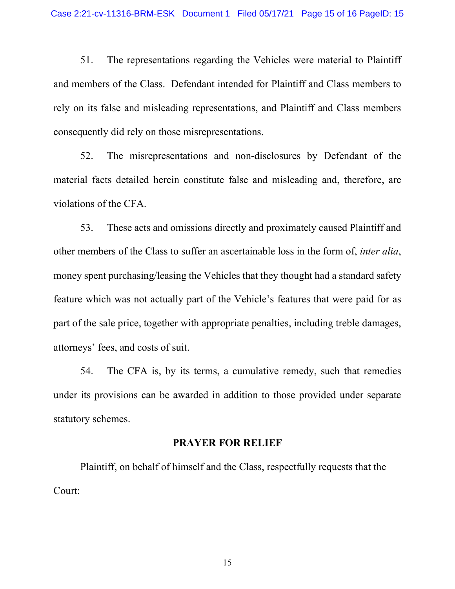51. The representations regarding the Vehicles were material to Plaintiff and members of the Class. Defendant intended for Plaintiff and Class members to rely on its false and misleading representations, and Plaintiff and Class members consequently did rely on those misrepresentations.

52. The misrepresentations and non-disclosures by Defendant of the material facts detailed herein constitute false and misleading and, therefore, are violations of the CFA.

53. These acts and omissions directly and proximately caused Plaintiff and other members of the Class to suffer an ascertainable loss in the form of, *inter alia*, money spent purchasing/leasing the Vehicles that they thought had a standard safety feature which was not actually part of the Vehicle's features that were paid for as part of the sale price, together with appropriate penalties, including treble damages, attorneys' fees, and costs of suit.

54. The CFA is, by its terms, a cumulative remedy, such that remedies under its provisions can be awarded in addition to those provided under separate statutory schemes.

#### **PRAYER FOR RELIEF**

Plaintiff, on behalf of himself and the Class, respectfully requests that the Court: